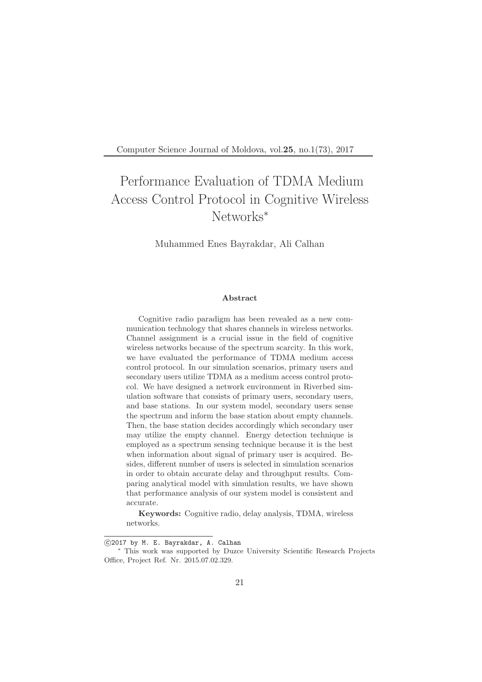Computer Science Journal of Moldova, vol.25, no.1(73), 2017

# Performance Evaluation of TDMA Medium Access Control Protocol in Cognitive Wireless Networks<sup>∗</sup>

Muhammed Enes Bayrakdar, Ali Calhan

#### Abstract

Cognitive radio paradigm has been revealed as a new communication technology that shares channels in wireless networks. Channel assignment is a crucial issue in the field of cognitive wireless networks because of the spectrum scarcity. In this work, we have evaluated the performance of TDMA medium access control protocol. In our simulation scenarios, primary users and secondary users utilize TDMA as a medium access control protocol. We have designed a network environment in Riverbed simulation software that consists of primary users, secondary users, and base stations. In our system model, secondary users sense the spectrum and inform the base station about empty channels. Then, the base station decides accordingly which secondary user may utilize the empty channel. Energy detection technique is employed as a spectrum sensing technique because it is the best when information about signal of primary user is acquired. Besides, different number of users is selected in simulation scenarios in order to obtain accurate delay and throughput results. Comparing analytical model with simulation results, we have shown that performance analysis of our system model is consistent and accurate.

Keywords: Cognitive radio, delay analysis, TDMA, wireless networks.

c 2017 by M. E. Bayrakdar, A. Calhan

<sup>∗</sup> This work was supported by Duzce University Scientific Research Projects Office, Project Ref. Nr. 2015.07.02.329.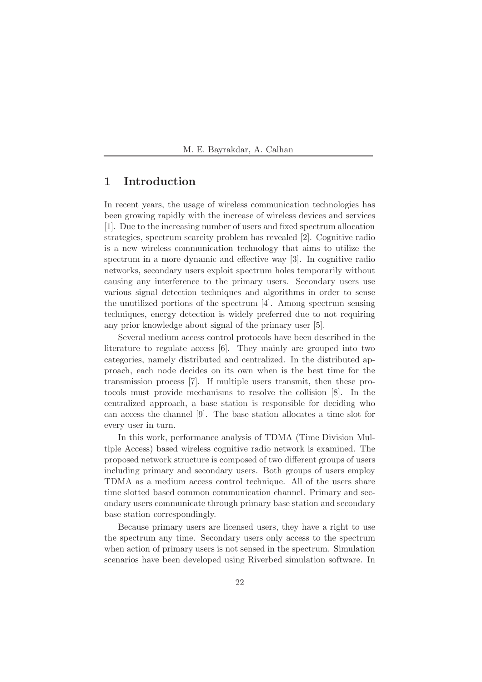# 1 Introduction

In recent years, the usage of wireless communication technologies has been growing rapidly with the increase of wireless devices and services [1]. Due to the increasing number of users and fixed spectrum allocation strategies, spectrum scarcity problem has revealed [2]. Cognitive radio is a new wireless communication technology that aims to utilize the spectrum in a more dynamic and effective way [3]. In cognitive radio networks, secondary users exploit spectrum holes temporarily without causing any interference to the primary users. Secondary users use various signal detection techniques and algorithms in order to sense the unutilized portions of the spectrum [4]. Among spectrum sensing techniques, energy detection is widely preferred due to not requiring any prior knowledge about signal of the primary user [5].

Several medium access control protocols have been described in the literature to regulate access [6]. They mainly are grouped into two categories, namely distributed and centralized. In the distributed approach, each node decides on its own when is the best time for the transmission process [7]. If multiple users transmit, then these protocols must provide mechanisms to resolve the collision [8]. In the centralized approach, a base station is responsible for deciding who can access the channel [9]. The base station allocates a time slot for every user in turn.

In this work, performance analysis of TDMA (Time Division Multiple Access) based wireless cognitive radio network is examined. The proposed network structure is composed of two different groups of users including primary and secondary users. Both groups of users employ TDMA as a medium access control technique. All of the users share time slotted based common communication channel. Primary and secondary users communicate through primary base station and secondary base station correspondingly.

Because primary users are licensed users, they have a right to use the spectrum any time. Secondary users only access to the spectrum when action of primary users is not sensed in the spectrum. Simulation scenarios have been developed using Riverbed simulation software. In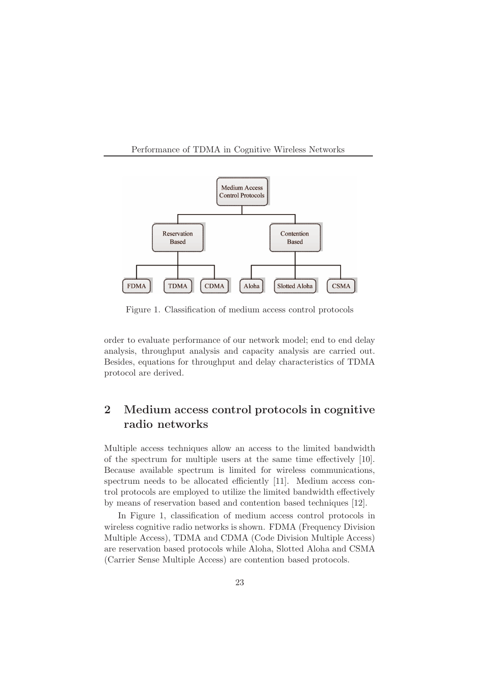#### Performance of TDMA in Cognitive Wireless Networks



Figure 1. Classification of medium access control protocols

order to evaluate performance of our network model; end to end delay analysis, throughput analysis and capacity analysis are carried out. Besides, equations for throughput and delay characteristics of TDMA protocol are derived.

# 2 Medium access control protocols in cognitive radio networks

Multiple access techniques allow an access to the limited bandwidth of the spectrum for multiple users at the same time effectively [10]. Because available spectrum is limited for wireless communications, spectrum needs to be allocated efficiently [11]. Medium access control protocols are employed to utilize the limited bandwidth effectively by means of reservation based and contention based techniques [12].

In Figure 1, classification of medium access control protocols in wireless cognitive radio networks is shown. FDMA (Frequency Division Multiple Access), TDMA and CDMA (Code Division Multiple Access) are reservation based protocols while Aloha, Slotted Aloha and CSMA (Carrier Sense Multiple Access) are contention based protocols.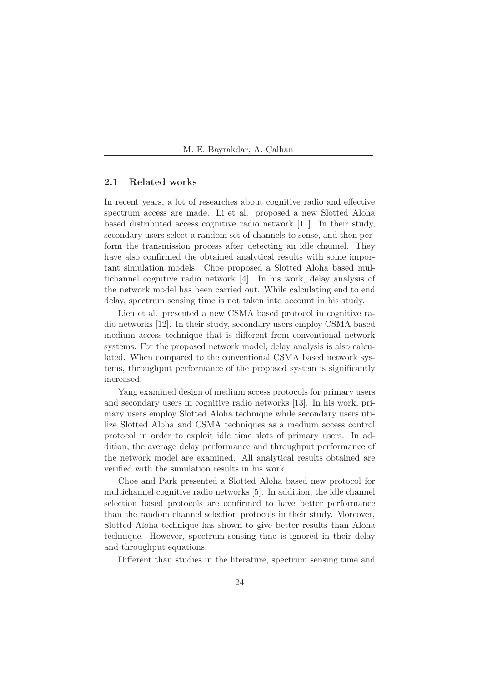#### 2.1 Related works

In recent years, a lot of researches about cognitive radio and effective spectrum access are made. Li et al. proposed a new Slotted Aloha based distributed access cognitive radio network [11]. In their study, secondary users select a random set of channels to sense, and then perform the transmission process after detecting an idle channel. They have also confirmed the obtained analytical results with some important simulation models. Choe proposed a Slotted Aloha based multichannel cognitive radio network [4]. In his work, delay analysis of the network model has been carried out. While calculating end to end delay, spectrum sensing time is not taken into account in his study.

Lien et al. presented a new CSMA based protocol in cognitive radio networks [12]. In their study, secondary users employ CSMA based medium access technique that is different from conventional network systems. For the proposed network model, delay analysis is also calculated. When compared to the conventional CSMA based network systems, throughput performance of the proposed system is significantly increased.

Yang examined design of medium access protocols for primary users and secondary users in cognitive radio networks [13]. In his work, primary users employ Slotted Aloha technique while secondary users utilize Slotted Aloha and CSMA techniques as a medium access control protocol in order to exploit idle time slots of primary users. In addition, the average delay performance and throughput performance of the network model are examined. All analytical results obtained are verified with the simulation results in his work.

Choe and Park presented a Slotted Aloha based new protocol for multichannel cognitive radio networks [5]. In addition, the idle channel selection based protocols are confirmed to have better performance than the random channel selection protocols in their study. Moreover, Slotted Aloha technique has shown to give better results than Aloha technique. However, spectrum sensing time is ignored in their delay and throughput equations.

Different than studies in the literature, spectrum sensing time and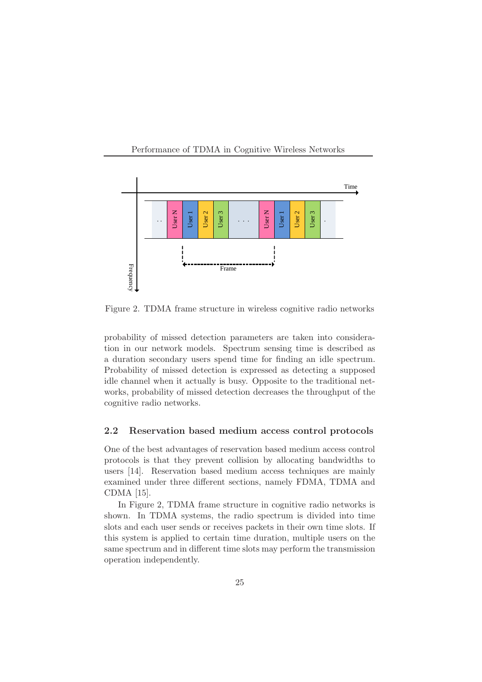



Figure 2. TDMA frame structure in wireless cognitive radio networks

probability of missed detection parameters are taken into consideration in our network models. Spectrum sensing time is described as a duration secondary users spend time for finding an idle spectrum. Probability of missed detection is expressed as detecting a supposed idle channel when it actually is busy. Opposite to the traditional networks, probability of missed detection decreases the throughput of the cognitive radio networks.

#### 2.2 Reservation based medium access control protocols

One of the best advantages of reservation based medium access control protocols is that they prevent collision by allocating bandwidths to users [14]. Reservation based medium access techniques are mainly examined under three different sections, namely FDMA, TDMA and CDMA [15].

In Figure 2, TDMA frame structure in cognitive radio networks is shown. In TDMA systems, the radio spectrum is divided into time slots and each user sends or receives packets in their own time slots. If this system is applied to certain time duration, multiple users on the same spectrum and in different time slots may perform the transmission operation independently.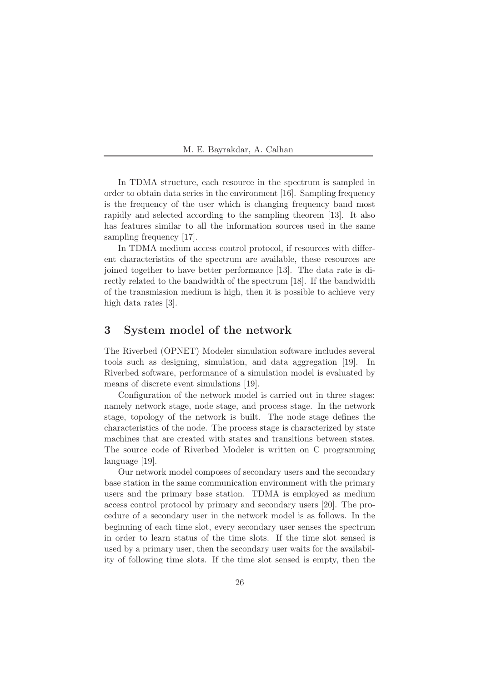In TDMA structure, each resource in the spectrum is sampled in order to obtain data series in the environment [16]. Sampling frequency is the frequency of the user which is changing frequency band most rapidly and selected according to the sampling theorem [13]. It also has features similar to all the information sources used in the same sampling frequency [17].

In TDMA medium access control protocol, if resources with different characteristics of the spectrum are available, these resources are joined together to have better performance [13]. The data rate is directly related to the bandwidth of the spectrum [18]. If the bandwidth of the transmission medium is high, then it is possible to achieve very high data rates [3].

# 3 System model of the network

The Riverbed (OPNET) Modeler simulation software includes several tools such as designing, simulation, and data aggregation [19]. In Riverbed software, performance of a simulation model is evaluated by means of discrete event simulations [19].

Configuration of the network model is carried out in three stages: namely network stage, node stage, and process stage. In the network stage, topology of the network is built. The node stage defines the characteristics of the node. The process stage is characterized by state machines that are created with states and transitions between states. The source code of Riverbed Modeler is written on C programming language [19].

Our network model composes of secondary users and the secondary base station in the same communication environment with the primary users and the primary base station. TDMA is employed as medium access control protocol by primary and secondary users [20]. The procedure of a secondary user in the network model is as follows. In the beginning of each time slot, every secondary user senses the spectrum in order to learn status of the time slots. If the time slot sensed is used by a primary user, then the secondary user waits for the availability of following time slots. If the time slot sensed is empty, then the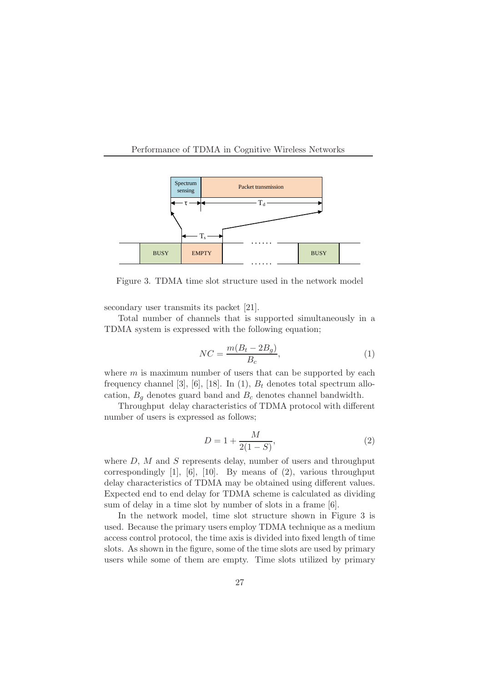



Figure 3. TDMA time slot structure used in the network model

secondary user transmits its packet [21].

Total number of channels that is supported simultaneously in a TDMA system is expressed with the following equation;

$$
NC = \frac{m(B_t - 2B_g)}{B_c},\tag{1}
$$

where  $m$  is maximum number of users that can be supported by each frequency channel [3], [6], [18]. In (1),  $B_t$  denotes total spectrum allocation,  $B_q$  denotes guard band and  $B_c$  denotes channel bandwidth.

Throughput delay characteristics of TDMA protocol with different number of users is expressed as follows;

$$
D = 1 + \frac{M}{2(1 - S)},
$$
\n(2)

where  $D$ ,  $M$  and  $S$  represents delay, number of users and throughput correspondingly [1], [6], [10]. By means of  $(2)$ , various throughput delay characteristics of TDMA may be obtained using different values. Expected end to end delay for TDMA scheme is calculated as dividing sum of delay in a time slot by number of slots in a frame [6].

In the network model, time slot structure shown in Figure 3 is used. Because the primary users employ TDMA technique as a medium access control protocol, the time axis is divided into fixed length of time slots. As shown in the figure, some of the time slots are used by primary users while some of them are empty. Time slots utilized by primary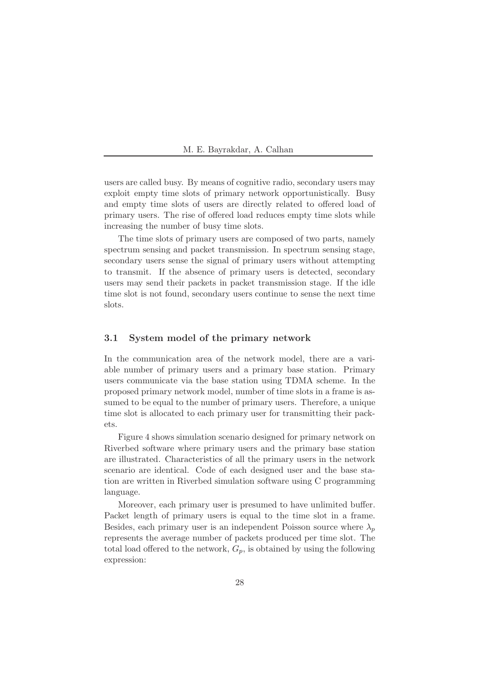users are called busy. By means of cognitive radio, secondary users may exploit empty time slots of primary network opportunistically. Busy and empty time slots of users are directly related to offered load of primary users. The rise of offered load reduces empty time slots while increasing the number of busy time slots.

The time slots of primary users are composed of two parts, namely spectrum sensing and packet transmission. In spectrum sensing stage, secondary users sense the signal of primary users without attempting to transmit. If the absence of primary users is detected, secondary users may send their packets in packet transmission stage. If the idle time slot is not found, secondary users continue to sense the next time slots.

#### 3.1 System model of the primary network

In the communication area of the network model, there are a variable number of primary users and a primary base station. Primary users communicate via the base station using TDMA scheme. In the proposed primary network model, number of time slots in a frame is assumed to be equal to the number of primary users. Therefore, a unique time slot is allocated to each primary user for transmitting their packets.

Figure 4 shows simulation scenario designed for primary network on Riverbed software where primary users and the primary base station are illustrated. Characteristics of all the primary users in the network scenario are identical. Code of each designed user and the base station are written in Riverbed simulation software using C programming language.

Moreover, each primary user is presumed to have unlimited buffer. Packet length of primary users is equal to the time slot in a frame. Besides, each primary user is an independent Poisson source where  $\lambda_p$ represents the average number of packets produced per time slot. The total load offered to the network,  $G_p$ , is obtained by using the following expression: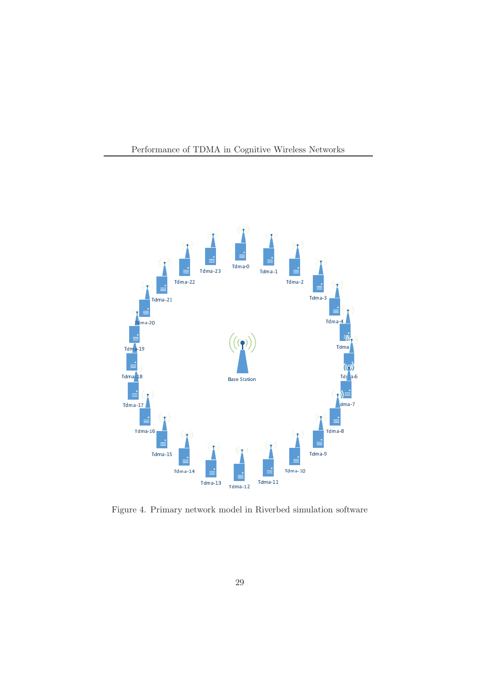



Figure 4. Primary network model in Riverbed simulation software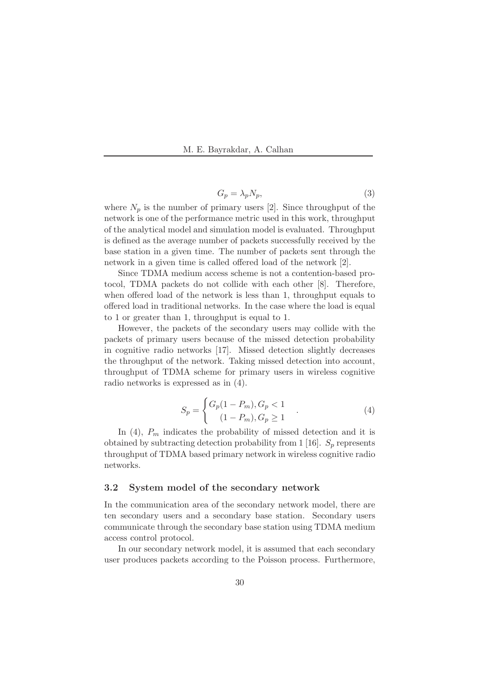$$
G_p = \lambda_p N_p,\tag{3}
$$

where  $N_p$  is the number of primary users [2]. Since throughput of the network is one of the performance metric used in this work, throughput of the analytical model and simulation model is evaluated. Throughput is defined as the average number of packets successfully received by the base station in a given time. The number of packets sent through the network in a given time is called offered load of the network [2].

Since TDMA medium access scheme is not a contention-based protocol, TDMA packets do not collide with each other [8]. Therefore, when offered load of the network is less than 1, throughput equals to offered load in traditional networks. In the case where the load is equal to 1 or greater than 1, throughput is equal to 1.

However, the packets of the secondary users may collide with the packets of primary users because of the missed detection probability in cognitive radio networks [17]. Missed detection slightly decreases the throughput of the network. Taking missed detection into account, throughput of TDMA scheme for primary users in wireless cognitive radio networks is expressed as in (4).

$$
S_p = \begin{cases} G_p(1 - P_m), G_p < 1 \\ (1 - P_m), G_p \ge 1 \end{cases} . \tag{4}
$$

In  $(4)$ ,  $P_m$  indicates the probability of missed detection and it is obtained by subtracting detection probability from 1 [16].  $S_p$  represents throughput of TDMA based primary network in wireless cognitive radio networks.

#### 3.2 System model of the secondary network

In the communication area of the secondary network model, there are ten secondary users and a secondary base station. Secondary users communicate through the secondary base station using TDMA medium access control protocol.

In our secondary network model, it is assumed that each secondary user produces packets according to the Poisson process. Furthermore,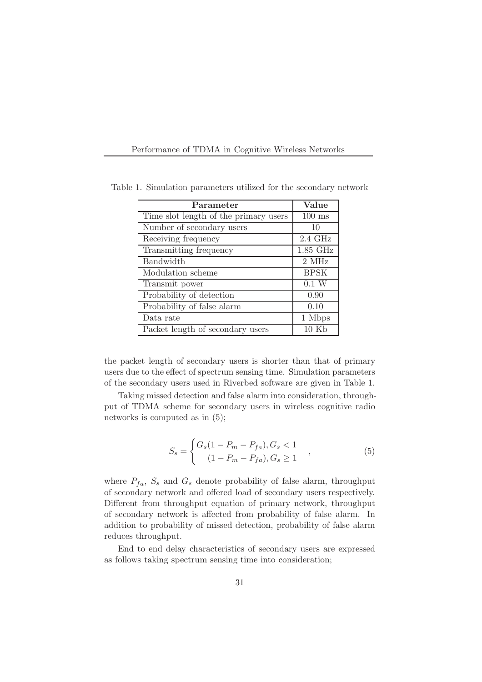Performance of TDMA in Cognitive Wireless Networks

| Parameter                             | Value            |
|---------------------------------------|------------------|
| Time slot length of the primary users | $100$ ms         |
| Number of secondary users             | 10               |
| Receiving frequency                   | $2.4\text{ GHz}$ |
| Transmitting frequency                | $1.85$ GHz       |
| <b>Bandwidth</b>                      | 2 MHz            |
| Modulation scheme                     | <b>BPSK</b>      |
| Transmit power                        | 0.1 W            |
| Probability of detection              | 0.90             |
| Probability of false alarm            | 0.10             |
| Data rate                             | 1 Mbps           |
| Packet length of secondary users      | $10 \text{ Kb}$  |

Table 1. Simulation parameters utilized for the secondary network

the packet length of secondary users is shorter than that of primary users due to the effect of spectrum sensing time. Simulation parameters of the secondary users used in Riverbed software are given in Table 1.

Taking missed detection and false alarm into consideration, throughput of TDMA scheme for secondary users in wireless cognitive radio networks is computed as in (5);

$$
S_s = \begin{cases} G_s(1 - P_m - P_{fa}), G_s < 1 \\ (1 - P_m - P_{fa}), G_s \ge 1 \end{cases} , \tag{5}
$$

where  $P_{fa}$ ,  $S_s$  and  $G_s$  denote probability of false alarm, throughput of secondary network and offered load of secondary users respectively. Different from throughput equation of primary network, throughput of secondary network is affected from probability of false alarm. In addition to probability of missed detection, probability of false alarm reduces throughput.

End to end delay characteristics of secondary users are expressed as follows taking spectrum sensing time into consideration;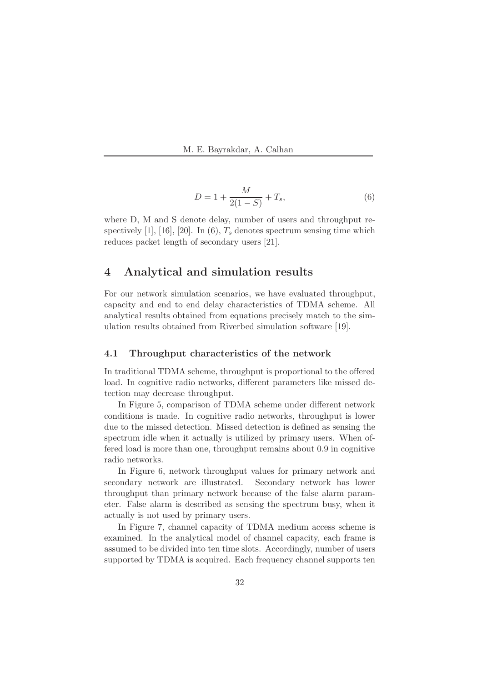

$$
D = 1 + \frac{M}{2(1 - S)} + T_s,
$$
\n(6)

where D, M and S denote delay, number of users and throughput respectively [1], [16], [20]. In (6),  $T_s$  denotes spectrum sensing time which reduces packet length of secondary users [21].

# 4 Analytical and simulation results

For our network simulation scenarios, we have evaluated throughput, capacity and end to end delay characteristics of TDMA scheme. All analytical results obtained from equations precisely match to the simulation results obtained from Riverbed simulation software [19].

#### 4.1 Throughput characteristics of the network

In traditional TDMA scheme, throughput is proportional to the offered load. In cognitive radio networks, different parameters like missed detection may decrease throughput.

In Figure 5, comparison of TDMA scheme under different network conditions is made. In cognitive radio networks, throughput is lower due to the missed detection. Missed detection is defined as sensing the spectrum idle when it actually is utilized by primary users. When offered load is more than one, throughput remains about 0.9 in cognitive radio networks.

In Figure 6, network throughput values for primary network and secondary network are illustrated. Secondary network has lower throughput than primary network because of the false alarm parameter. False alarm is described as sensing the spectrum busy, when it actually is not used by primary users.

In Figure 7, channel capacity of TDMA medium access scheme is examined. In the analytical model of channel capacity, each frame is assumed to be divided into ten time slots. Accordingly, number of users supported by TDMA is acquired. Each frequency channel supports ten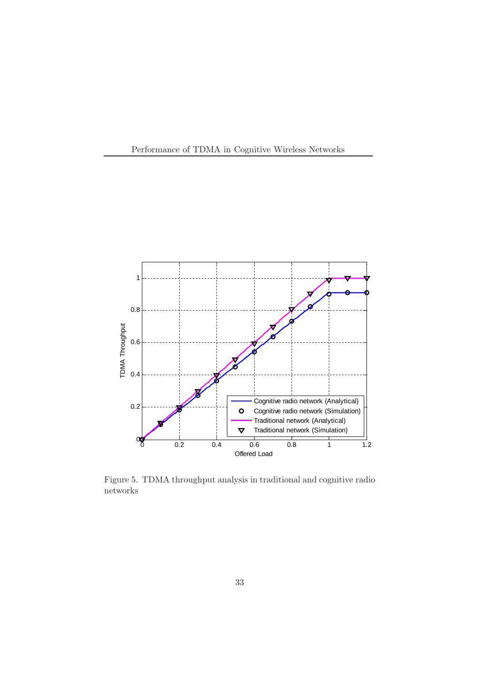



Figure 5. TDMA throughput analysis in traditional and cognitive radio networks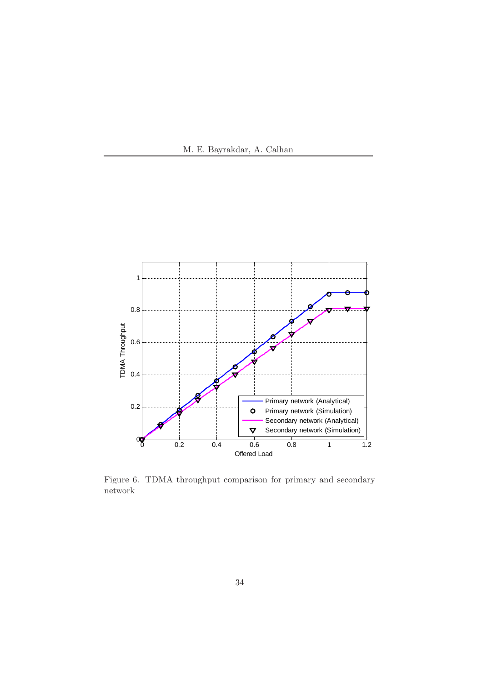



Figure 6. TDMA throughput comparison for primary and secondary network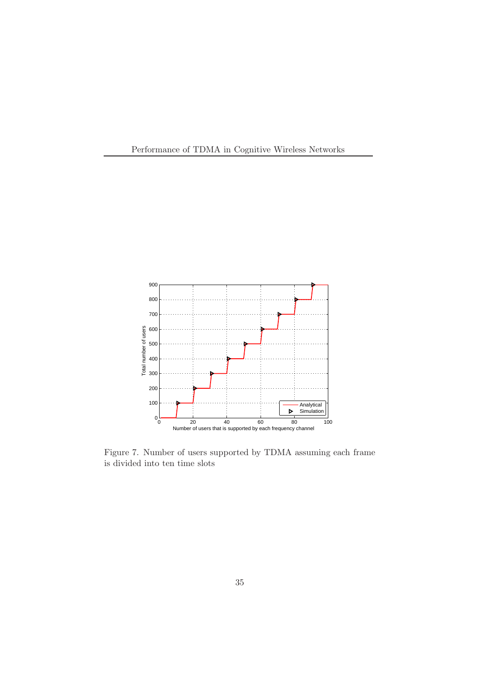



Figure 7. Number of users supported by TDMA assuming each frame is divided into ten time slots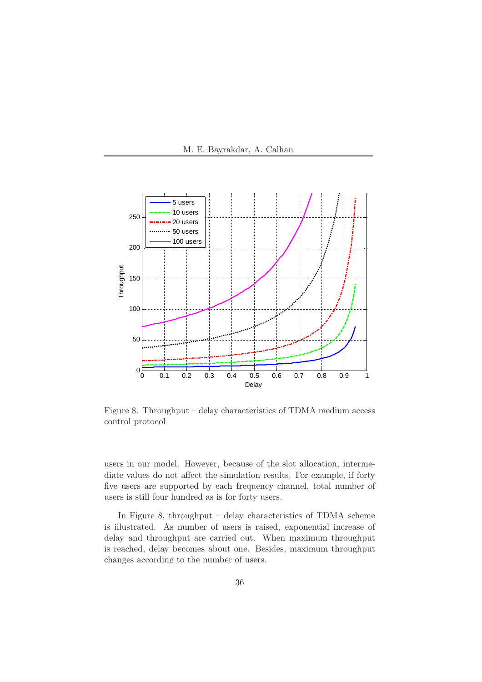



Figure 8. Throughput – delay characteristics of TDMA medium access control protocol

users in our model. However, because of the slot allocation, intermediate values do not affect the simulation results. For example, if forty five users are supported by each frequency channel, total number of users is still four hundred as is for forty users.

In Figure 8, throughput – delay characteristics of TDMA scheme is illustrated. As number of users is raised, exponential increase of delay and throughput are carried out. When maximum throughput is reached, delay becomes about one. Besides, maximum throughput changes according to the number of users.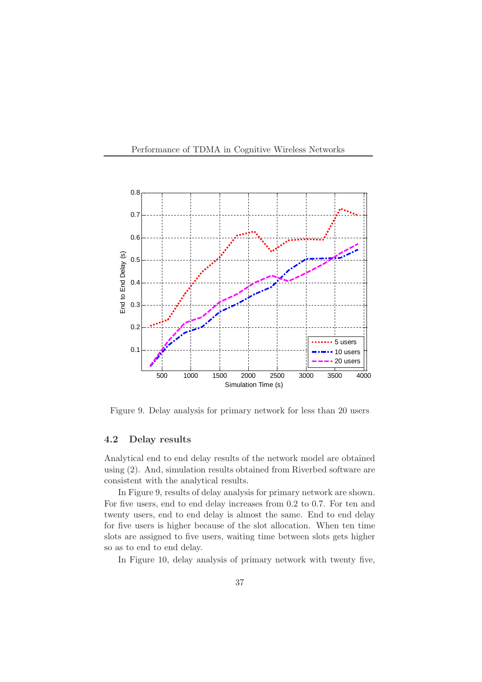



Figure 9. Delay analysis for primary network for less than 20 users

#### 4.2 Delay results

Analytical end to end delay results of the network model are obtained using (2). And, simulation results obtained from Riverbed software are consistent with the analytical results.

In Figure 9, results of delay analysis for primary network are shown. For five users, end to end delay increases from 0.2 to 0.7. For ten and twenty users, end to end delay is almost the same. End to end delay for five users is higher because of the slot allocation. When ten time slots are assigned to five users, waiting time between slots gets higher so as to end to end delay.

In Figure 10, delay analysis of primary network with twenty five,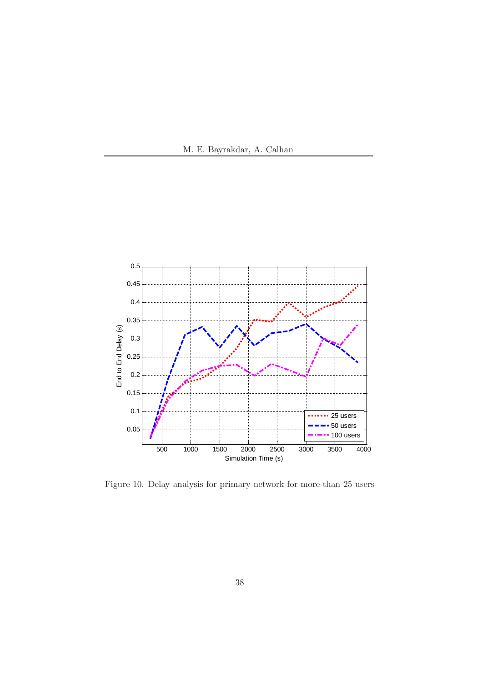



Figure 10. Delay analysis for primary network for more than 25 users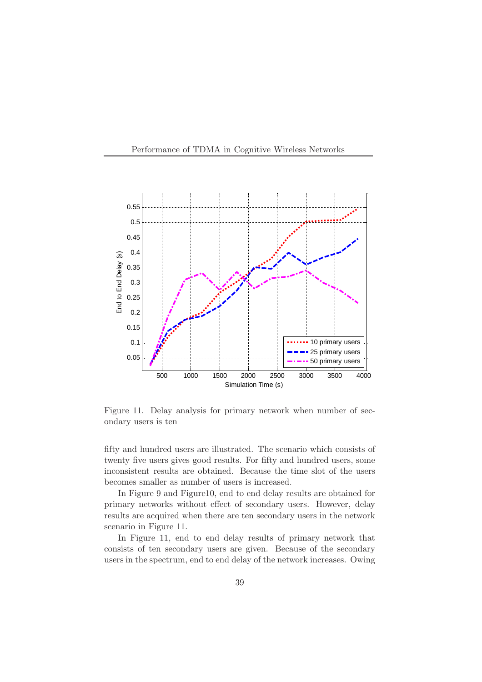



Figure 11. Delay analysis for primary network when number of secondary users is ten

fifty and hundred users are illustrated. The scenario which consists of twenty five users gives good results. For fifty and hundred users, some inconsistent results are obtained. Because the time slot of the users becomes smaller as number of users is increased.

In Figure 9 and Figure10, end to end delay results are obtained for primary networks without effect of secondary users. However, delay results are acquired when there are ten secondary users in the network scenario in Figure 11.

In Figure 11, end to end delay results of primary network that consists of ten secondary users are given. Because of the secondary users in the spectrum, end to end delay of the network increases. Owing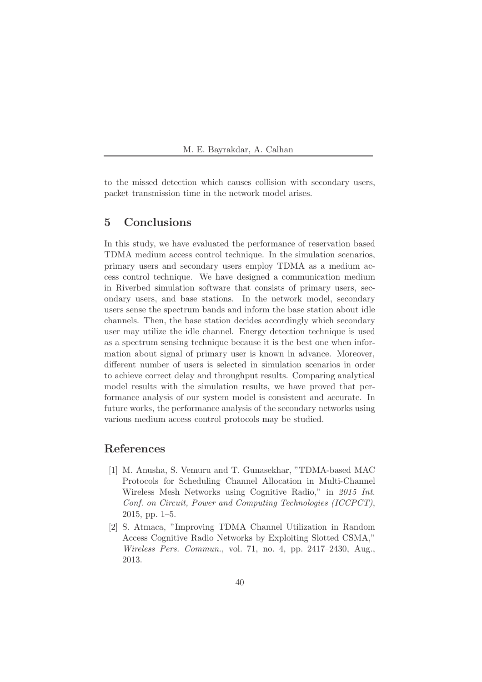to the missed detection which causes collision with secondary users, packet transmission time in the network model arises.

# 5 Conclusions

In this study, we have evaluated the performance of reservation based TDMA medium access control technique. In the simulation scenarios, primary users and secondary users employ TDMA as a medium access control technique. We have designed a communication medium in Riverbed simulation software that consists of primary users, secondary users, and base stations. In the network model, secondary users sense the spectrum bands and inform the base station about idle channels. Then, the base station decides accordingly which secondary user may utilize the idle channel. Energy detection technique is used as a spectrum sensing technique because it is the best one when information about signal of primary user is known in advance. Moreover, different number of users is selected in simulation scenarios in order to achieve correct delay and throughput results. Comparing analytical model results with the simulation results, we have proved that performance analysis of our system model is consistent and accurate. In future works, the performance analysis of the secondary networks using various medium access control protocols may be studied.

# References

- [1] M. Anusha, S. Vemuru and T. Gunasekhar, "TDMA-based MAC Protocols for Scheduling Channel Allocation in Multi-Channel Wireless Mesh Networks using Cognitive Radio," in 2015 Int. Conf. on Circuit, Power and Computing Technologies (ICCPCT), 2015, pp. 1–5.
- [2] S. Atmaca, "Improving TDMA Channel Utilization in Random Access Cognitive Radio Networks by Exploiting Slotted CSMA," Wireless Pers. Commun., vol. 71, no. 4, pp. 2417–2430, Aug., 2013.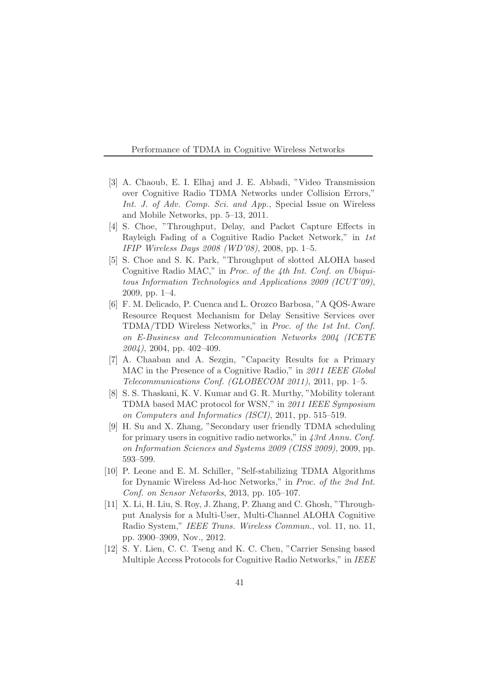Performance of TDMA in Cognitive Wireless Networks

- [3] A. Chaoub, E. I. Elhaj and J. E. Abbadi, "Video Transmission over Cognitive Radio TDMA Networks under Collision Errors," Int. J. of Adv. Comp. Sci. and App., Special Issue on Wireless and Mobile Networks, pp. 5–13, 2011.
- [4] S. Choe, "Throughput, Delay, and Packet Capture Effects in Rayleigh Fading of a Cognitive Radio Packet Network," in 1st IFIP Wireless Days 2008 (WD'08), 2008, pp. 1–5.
- [5] S. Choe and S. K. Park, "Throughput of slotted ALOHA based Cognitive Radio MAC," in Proc. of the 4th Int. Conf. on Ubiquitous Information Technologies and Applications 2009 (ICUT'09), 2009, pp. 1–4.
- [6] F. M. Delicado, P. Cuenca and L. Orozco Barbosa, "A QOS-Aware Resource Request Mechanism for Delay Sensitive Services over TDMA/TDD Wireless Networks," in Proc. of the 1st Int. Conf. on E-Business and Telecommunication Networks 2004 (ICETE  $2004$ , 2004, pp. 402-409.
- [7] A. Chaaban and A. Sezgin, "Capacity Results for a Primary MAC in the Presence of a Cognitive Radio," in 2011 IEEE Global Telecommunications Conf. (GLOBECOM 2011), 2011, pp. 1–5.
- [8] S. S. Thaskani, K. V. Kumar and G. R. Murthy, "Mobility tolerant TDMA based MAC protocol for WSN," in 2011 IEEE Symposium on Computers and Informatics (ISCI), 2011, pp. 515–519.
- [9] H. Su and X. Zhang, "Secondary user friendly TDMA scheduling for primary users in cognitive radio networks," in 43rd Annu. Conf. on Information Sciences and Systems 2009 (CISS 2009), 2009, pp. 593–599.
- [10] P. Leone and E. M. Schiller, "Self-stabilizing TDMA Algorithms for Dynamic Wireless Ad-hoc Networks," in Proc. of the 2nd Int. Conf. on Sensor Networks, 2013, pp. 105–107.
- [11] X. Li, H. Liu, S. Roy, J. Zhang, P. Zhang and C. Ghosh, "Throughput Analysis for a Multi-User, Multi-Channel ALOHA Cognitive Radio System," IEEE Trans. Wireless Commun., vol. 11, no. 11, pp. 3900–3909, Nov., 2012.
- [12] S. Y. Lien, C. C. Tseng and K. C. Chen, "Carrier Sensing based Multiple Access Protocols for Cognitive Radio Networks," in IEEE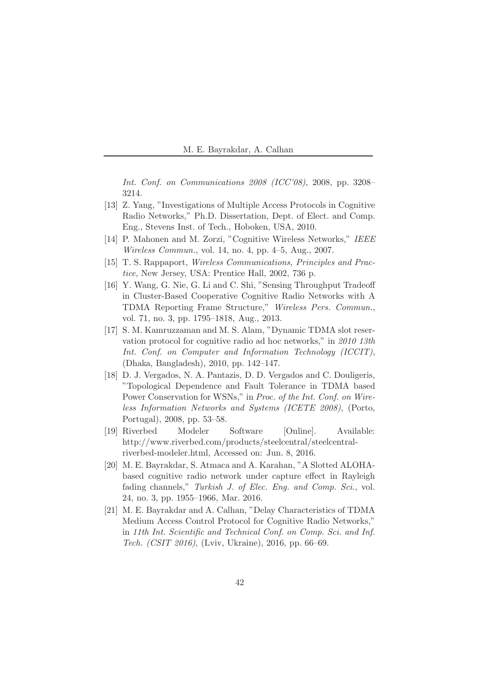Int. Conf. on Communications 2008 (ICC'08), 2008, pp. 3208– 3214.

- [13] Z. Yang, "Investigations of Multiple Access Protocols in Cognitive Radio Networks," Ph.D. Dissertation, Dept. of Elect. and Comp. Eng., Stevens Inst. of Tech., Hoboken, USA, 2010.
- [14] P. Mahonen and M. Zorzi, "Cognitive Wireless Networks," IEEE Wireless Commun., vol. 14, no. 4, pp. 4–5, Aug., 2007.
- [15] T. S. Rappaport, Wireless Communications, Principles and Practice, New Jersey, USA: Prentice Hall, 2002, 736 p.
- [16] Y. Wang, G. Nie, G. Li and C. Shi, "Sensing Throughput Tradeoff in Cluster-Based Cooperative Cognitive Radio Networks with A TDMA Reporting Frame Structure," Wireless Pers. Commun., vol. 71, no. 3, pp. 1795–1818, Aug., 2013.
- [17] S. M. Kamruzzaman and M. S. Alam, "Dynamic TDMA slot reservation protocol for cognitive radio ad hoc networks," in 2010 13th Int. Conf. on Computer and Information Technology (ICCIT), (Dhaka, Bangladesh), 2010, pp. 142–147.
- [18] D. J. Vergados, N. A. Pantazis, D. D. Vergados and C. Douligeris, "Topological Dependence and Fault Tolerance in TDMA based Power Conservation for WSNs," in Proc. of the Int. Conf. on Wireless Information Networks and Systems (ICETE 2008), (Porto, Portugal), 2008, pp. 53–58.
- [19] Riverbed Modeler Software [Online]. Available: http://www.riverbed.com/products/steelcentral/steelcentralriverbed-modeler.html, Accessed on: Jun. 8, 2016.
- [20] M. E. Bayrakdar, S. Atmaca and A. Karahan, "A Slotted ALOHAbased cognitive radio network under capture effect in Rayleigh fading channels," Turkish J. of Elec. Eng. and Comp. Sci., vol. 24, no. 3, pp. 1955–1966, Mar. 2016.
- [21] M. E. Bayrakdar and A. Calhan, "Delay Characteristics of TDMA Medium Access Control Protocol for Cognitive Radio Networks," in 11th Int. Scientific and Technical Conf. on Comp. Sci. and Inf. Tech. (CSIT 2016), (Lviv, Ukraine), 2016, pp. 66–69.